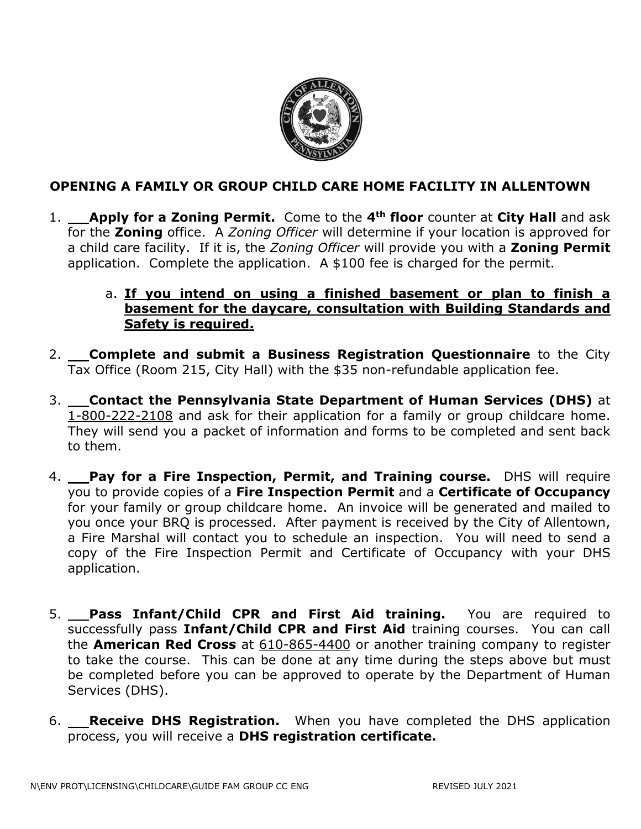

## **OPENING A FAMILY OR GROUP CHILD CARE HOME FACILITY IN ALLENTOWN**

1. **Apply for a Zoning Permit.** Come to the **4th floor** counter at **City Hall** and ask for the **Zoning** office. A *Zoning Officer* will determine if your location is approved for a child care facility. If it is, the *Zoning Officer* will provide you with a **Zoning Permit** application. Complete the application. A \$100 fee is charged for the permit.

## a. **If you intend on using a finished basement or plan to finish a basement for the daycare, consultation with Building Standards and Safety is required.**

- 2. **Complete and submit a Business Registration Questionnaire** to the City Tax Office (Room 215, City Hall) with the \$35 non-refundable application fee.
- 3. **Contact the Pennsylvania State Department of Human Services (DHS)** at 1-800-222-2108 and ask for their application for a family or group childcare home. They will send you a packet of information and forms to be completed and sent back to them.
- 4. **Pay for a Fire Inspection, Permit, and Training course.** DHS will require you to provide copies of a **Fire Inspection Permit** and a **Certificate of Occupancy** for your family or group childcare home. An invoice will be generated and mailed to you once your BRQ is processed. After payment is received by the City of Allentown, a Fire Marshal will contact you to schedule an inspection. You will need to send a copy of the Fire Inspection Permit and Certificate of Occupancy with your DHS application.
- 5. **Pass Infant/Child CPR and First Aid training.** You are required to successfully pass **Infant/Child CPR and First Aid** training courses. You can call the **American Red Cross** at 610-865-4400 or another training company to register to take the course. This can be done at any time during the steps above but must be completed before you can be approved to operate by the Department of Human Services (DHS).
- 6. **Receive DHS Registration.** When you have completed the DHS application process, you will receive a **DHS registration certificate.**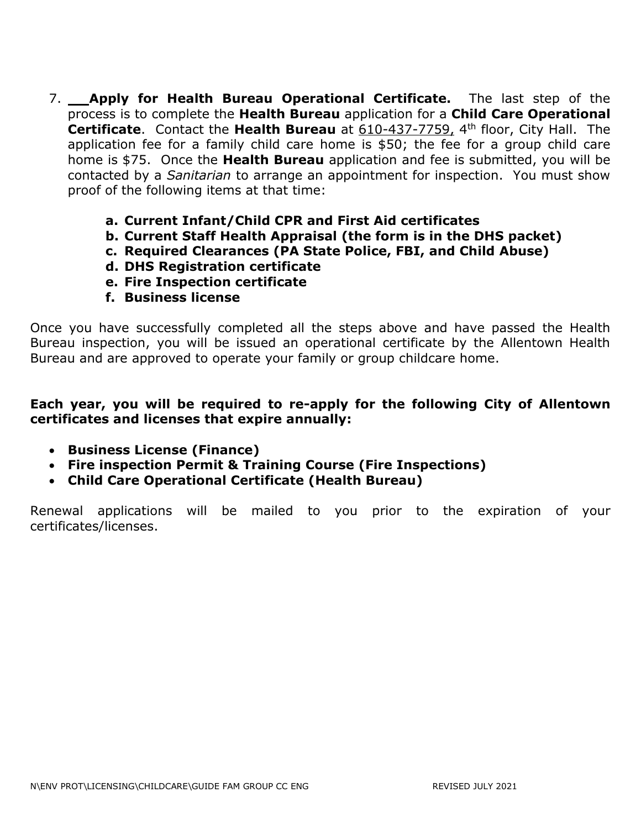- 7. **Apply for Health Bureau Operational Certificate.** The last step of the process is to complete the **Health Bureau** application for a **Child Care Operational Certificate**. Contact the Health Bureau at 610-437-7759, 4<sup>th</sup> floor, City Hall. The application fee for a family child care home is \$50; the fee for a group child care home is \$75. Once the **Health Bureau** application and fee is submitted, you will be contacted by a *Sanitarian* to arrange an appointment for inspection. You must show proof of the following items at that time:
	- **a. Current Infant/Child CPR and First Aid certificates**
	- **b. Current Staff Health Appraisal (the form is in the DHS packet)**
	- **c. Required Clearances (PA State Police, FBI, and Child Abuse)**
	- **d. DHS Registration certificate**
	- **e. Fire Inspection certificate**
	- **f. Business license**

Once you have successfully completed all the steps above and have passed the Health Bureau inspection, you will be issued an operational certificate by the Allentown Health Bureau and are approved to operate your family or group childcare home.

## **Each year, you will be required to re-apply for the following City of Allentown certificates and licenses that expire annually:**

- **Business License (Finance)**
- **Fire inspection Permit & Training Course (Fire Inspections)**
- **Child Care Operational Certificate (Health Bureau)**

Renewal applications will be mailed to you prior to the expiration of your certificates/licenses.